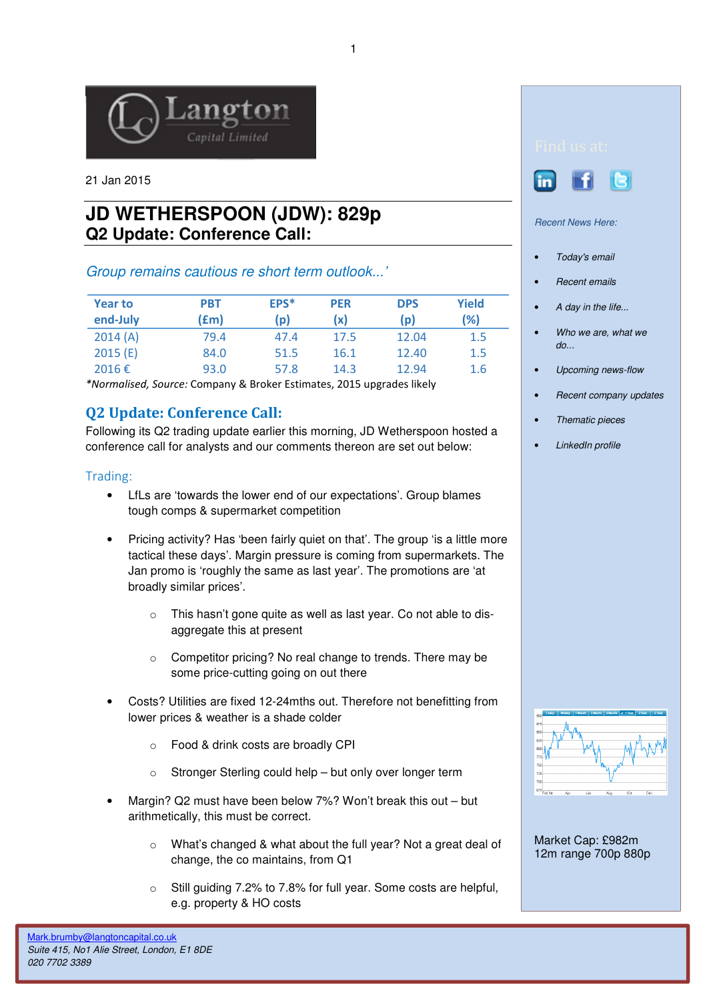

21 Jan 2015

# **JD WETHERSPOON (JDW): 829p Q2 Update: Conference Call:**

Group remains cautious re short term outlook...'

| <b>Year to</b><br>end-July | <b>PBT</b><br>f(m) | EPS*<br>(p) | <b>PER</b><br>(x) | <b>DPS</b><br>(p) | Yield<br>(%) |
|----------------------------|--------------------|-------------|-------------------|-------------------|--------------|
| 2014(A)                    | 79.4               | 47.4        | 17.5              | 12.04             | 1.5          |
| 2015(E)                    | 84.0               | 51.5        | 16.1              | 12.40             | 1.5          |
| 2016€                      | 93.0               | 57.8        | 14.3              | 12.94             | 1.6          |

\*Normalised, Source: Company & Broker Estimates, 2015 upgrades likely

## Q2 Update: Conference Call:

Following its Q2 trading update earlier this morning, JD Wetherspoon hosted a conference call for analysts and our comments thereon are set out below:

### Trading:

- LfLs are 'towards the lower end of our expectations'. Group blames tough comps & supermarket competition
- Pricing activity? Has 'been fairly quiet on that'. The group 'is a little more tactical these days'. Margin pressure is coming from supermarkets. The Jan promo is 'roughly the same as last year'. The promotions are 'at broadly similar prices'.
	- o This hasn't gone quite as well as last year. Co not able to disaggregate this at present
	- o Competitor pricing? No real change to trends. There may be some price-cutting going on out there
- Costs? Utilities are fixed 12-24mths out. Therefore not benefitting from lower prices & weather is a shade colder
	- o Food & drink costs are broadly CPI
	- o Stronger Sterling could help but only over longer term
- Margin? Q2 must have been below 7%? Won't break this out but arithmetically, this must be correct.
	- o What's changed & what about the full year? Not a great deal of change, the co maintains, from Q1
	- o Still guiding 7.2% to 7.8% for full year. Some costs are helpful, e.g. property & HO costs





#### Recent News Here:

- Today's email
- Recent emails
- A day in the life...
- Who we are, what we  $d\rho$ ...
- Upcoming news-flow
- Recent company updates
- Thematic pieces
- LinkedIn profile



Market Cap: £982m 12m range 700p 880p